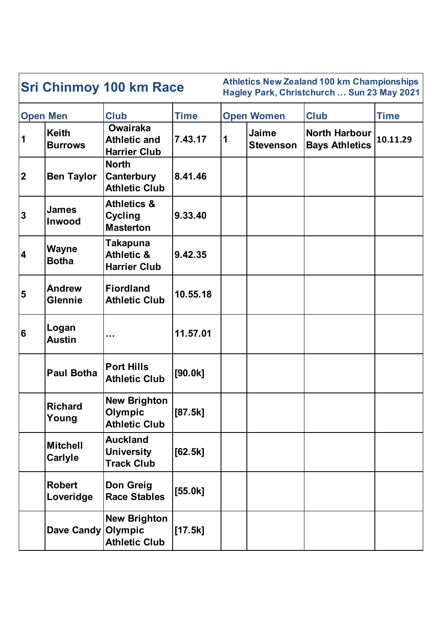| <b>Sri Chinmoy 100 km Race</b> |                                   |                                                               |             |   | <b>Athletics New Zealand 100 km Championships</b><br>Hagley Park, Christchurch  Sun 23 May 2021 |                                               |             |  |  |
|--------------------------------|-----------------------------------|---------------------------------------------------------------|-------------|---|-------------------------------------------------------------------------------------------------|-----------------------------------------------|-------------|--|--|
| <b>Open Men</b>                |                                   | <b>Club</b>                                                   | <b>Time</b> |   | <b>Open Women</b>                                                                               | <b>Club</b>                                   | <b>Time</b> |  |  |
| $\vert$ 1                      | <b>Keith</b><br><b>Burrows</b>    | <b>Owairaka</b><br><b>Athletic and</b><br><b>Harrier Club</b> | 7.43.17     | 1 | Jaime<br><b>Stevenson</b>                                                                       | <b>North Harbour</b><br><b>Bays Athletics</b> | 10.11.29    |  |  |
| 2                              | <b>Ben Taylor</b>                 | <b>North</b><br><b>Canterbury</b><br><b>Athletic Club</b>     | 8.41.46     |   |                                                                                                 |                                               |             |  |  |
| 3                              | <b>James</b><br><b>Inwood</b>     | <b>Athletics &amp;</b><br><b>Cycling</b><br><b>Masterton</b>  | 9.33.40     |   |                                                                                                 |                                               |             |  |  |
| 4                              | <b>Wayne</b><br><b>Botha</b>      | Takapuna<br><b>Athletic &amp;</b><br><b>Harrier Club</b>      | 9.42.35     |   |                                                                                                 |                                               |             |  |  |
| 5                              | <b>Andrew</b><br><b>Glennie</b>   | <b>Fiordland</b><br><b>Athletic Club</b>                      | 10.55.18    |   |                                                                                                 |                                               |             |  |  |
| 6                              | Logan<br><b>Austin</b>            |                                                               | 11.57.01    |   |                                                                                                 |                                               |             |  |  |
|                                | <b>Paul Botha</b>                 | <b>Port Hills</b><br><b>Athletic Club</b>                     | [90.0k]     |   |                                                                                                 |                                               |             |  |  |
|                                | <b>Richard</b><br>Young           | <b>New Brighton</b><br>Olympic<br><b>Athletic Club</b>        | [87.5k]     |   |                                                                                                 |                                               |             |  |  |
|                                | <b>Mitchell</b><br><b>Carlyle</b> | <b>Auckland</b><br><b>University</b><br><b>Track Club</b>     | $[62.5k]$   |   |                                                                                                 |                                               |             |  |  |
|                                | <b>Robert</b><br>Loveridge        | Don Greig<br><b>Race Stables</b>                              | $[55.0k]$   |   |                                                                                                 |                                               |             |  |  |
|                                | Dave Candy Olympic                | <b>New Brighton</b><br><b>Athletic Club</b>                   | $[17.5k]$   |   |                                                                                                 |                                               |             |  |  |